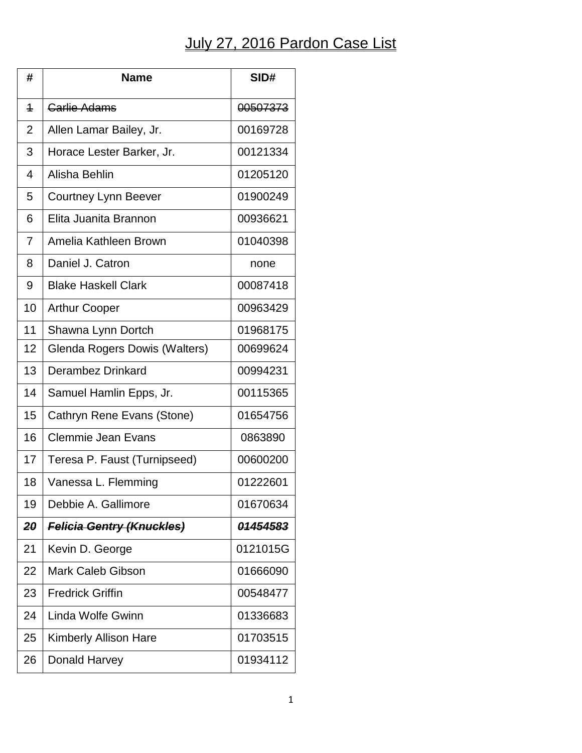## July 27, 2016 Pardon Case List

| #              | <b>Name</b>                      | SID#     |
|----------------|----------------------------------|----------|
| $\overline{1}$ | <b>Carlie Adams</b>              | 00507373 |
| $\overline{2}$ | Allen Lamar Bailey, Jr.          | 00169728 |
| 3              | Horace Lester Barker, Jr.        | 00121334 |
| 4              | Alisha Behlin                    | 01205120 |
| 5              | <b>Courtney Lynn Beever</b>      | 01900249 |
| 6              | Elita Juanita Brannon            | 00936621 |
| $\overline{7}$ | Amelia Kathleen Brown            | 01040398 |
| 8              | Daniel J. Catron                 | none     |
| 9              | <b>Blake Haskell Clark</b>       | 00087418 |
| 10             | <b>Arthur Cooper</b>             | 00963429 |
| 11             | Shawna Lynn Dortch               | 01968175 |
| 12             | Glenda Rogers Dowis (Walters)    | 00699624 |
| 13             | Derambez Drinkard                | 00994231 |
| 14             | Samuel Hamlin Epps, Jr.          | 00115365 |
| 15             | Cathryn Rene Evans (Stone)       | 01654756 |
| 16             | <b>Clemmie Jean Evans</b>        | 0863890  |
| 17             | Teresa P. Faust (Turnipseed)     | 00600200 |
| 18             | Vanessa L. Flemming              | 01222601 |
| 19             | Debbie A. Gallimore              | 01670634 |
| 20             | <b>Felicia Gentry (Knuckles)</b> | 01454583 |
| 21             | Kevin D. George                  | 0121015G |
| 22             | <b>Mark Caleb Gibson</b>         | 01666090 |
| 23             | <b>Fredrick Griffin</b>          | 00548477 |
| 24             | Linda Wolfe Gwinn                | 01336683 |
| 25             | <b>Kimberly Allison Hare</b>     | 01703515 |
| 26             | Donald Harvey                    | 01934112 |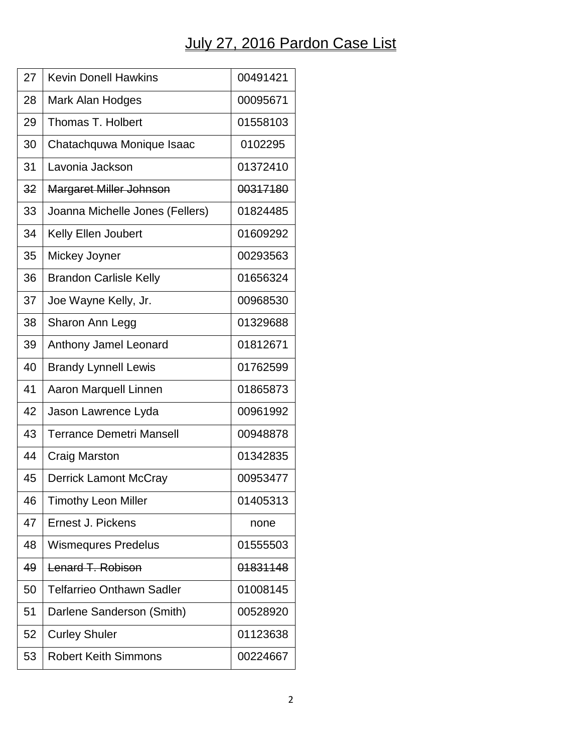## July 27, 2016 Pardon Case List

| 27 | <b>Kevin Donell Hawkins</b>      | 00491421 |
|----|----------------------------------|----------|
| 28 | Mark Alan Hodges                 | 00095671 |
| 29 | Thomas T. Holbert                | 01558103 |
| 30 | Chatachquwa Monique Isaac        | 0102295  |
| 31 | Lavonia Jackson                  | 01372410 |
| 32 | <b>Margaret Miller Johnson</b>   | 00317180 |
| 33 | Joanna Michelle Jones (Fellers)  | 01824485 |
| 34 | Kelly Ellen Joubert              | 01609292 |
| 35 | Mickey Joyner                    | 00293563 |
| 36 | <b>Brandon Carlisle Kelly</b>    | 01656324 |
| 37 | Joe Wayne Kelly, Jr.             | 00968530 |
| 38 | Sharon Ann Legg                  | 01329688 |
| 39 | Anthony Jamel Leonard            | 01812671 |
| 40 | <b>Brandy Lynnell Lewis</b>      | 01762599 |
| 41 | Aaron Marquell Linnen            | 01865873 |
| 42 | Jason Lawrence Lyda              | 00961992 |
| 43 | <b>Terrance Demetri Mansell</b>  | 00948878 |
| 44 | <b>Craig Marston</b>             | 01342835 |
| 45 | <b>Derrick Lamont McCray</b>     | 00953477 |
| 46 | <b>Timothy Leon Miller</b>       | 01405313 |
| 47 | Ernest J. Pickens                | none     |
| 48 | <b>Wismequres Predelus</b>       | 01555503 |
| 49 | Lenard T. Robison                | 01831148 |
| 50 | <b>Telfarrieo Onthawn Sadler</b> | 01008145 |
| 51 | Darlene Sanderson (Smith)        | 00528920 |
| 52 | <b>Curley Shuler</b>             | 01123638 |
| 53 | <b>Robert Keith Simmons</b>      | 00224667 |